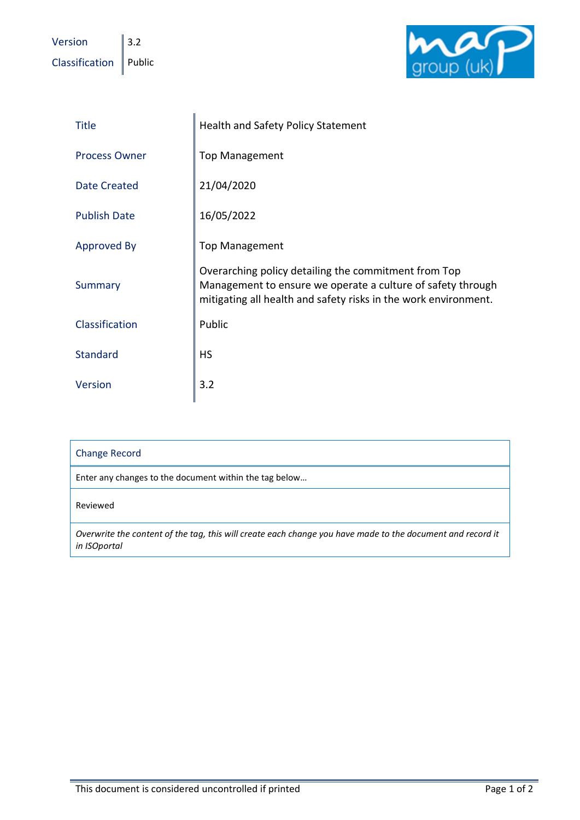Version  $\|$  3.2  $\overline{\text{Classification}}$  Public



| <b>Title</b>         | <b>Health and Safety Policy Statement</b>                                                                                                                                              |
|----------------------|----------------------------------------------------------------------------------------------------------------------------------------------------------------------------------------|
| <b>Process Owner</b> | <b>Top Management</b>                                                                                                                                                                  |
| <b>Date Created</b>  | 21/04/2020                                                                                                                                                                             |
| <b>Publish Date</b>  | 16/05/2022                                                                                                                                                                             |
| <b>Approved By</b>   | <b>Top Management</b>                                                                                                                                                                  |
| Summary              | Overarching policy detailing the commitment from Top<br>Management to ensure we operate a culture of safety through<br>mitigating all health and safety risks in the work environment. |
| Classification       | Public                                                                                                                                                                                 |
| <b>Standard</b>      | <b>HS</b>                                                                                                                                                                              |
| Version              | 3.2                                                                                                                                                                                    |

| <b>Change Record</b>                                                                                                       |  |
|----------------------------------------------------------------------------------------------------------------------------|--|
| Enter any changes to the document within the tag below                                                                     |  |
| Reviewed                                                                                                                   |  |
| Overwrite the content of the tag, this will create each change you have made to the document and record it<br>in ISOportal |  |